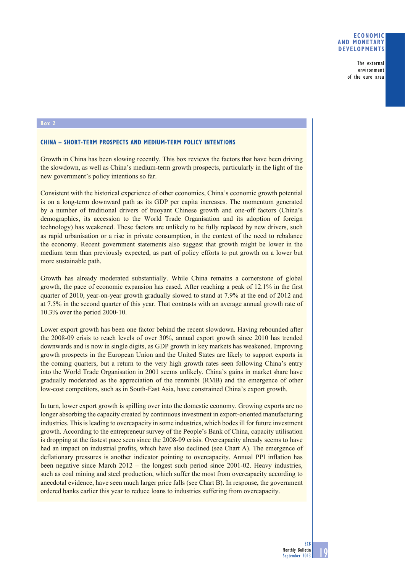## **ECONOMIC AND MONETARY DEVELOPMENTS**

The external environment of the euro area

## **Box 2**

## **CHINA – SHORT-TERM PROSPECTS AND MEDIUM-TERM POLICY INTENTIONS**

Growth in China has been slowing recently. This box reviews the factors that have been driving the slowdown, as well as China's medium-term growth prospects, particularly in the light of the new government's policy intentions so far.

Consistent with the historical experience of other economies, China's economic growth potential is on a long-term downward path as its GDP per capita increases. The momentum generated by a number of traditional drivers of buoyant Chinese growth and one-off factors (China's demographics, its accession to the World Trade Organisation and its adoption of foreign technology) has weakened. These factors are unlikely to be fully replaced by new drivers, such as rapid urbanisation or a rise in private consumption, in the context of the need to rebalance the economy. Recent government statements also suggest that growth might be lower in the medium term than previously expected, as part of policy efforts to put growth on a lower but more sustainable path.

Growth has already moderated substantially. While China remains a cornerstone of global growth, the pace of economic expansion has eased. After reaching a peak of 12.1% in the first quarter of 2010, year-on-year growth gradually slowed to stand at 7.9% at the end of 2012 and at 7.5% in the second quarter of this year. That contrasts with an average annual growth rate of 10.3% over the period 2000-10.

Lower export growth has been one factor behind the recent slowdown. Having rebounded after the 2008-09 crisis to reach levels of over 30%, annual export growth since 2010 has trended downwards and is now in single digits, as GDP growth in key markets has weakened. Improving growth prospects in the European Union and the United States are likely to support exports in the coming quarters, but a return to the very high growth rates seen following China's entry into the World Trade Organisation in 2001 seems unlikely. China's gains in market share have gradually moderated as the appreciation of the renminbi (RMB) and the emergence of other low-cost competitors, such as in South-East Asia, have constrained China's export growth.

In turn, lower export growth is spilling over into the domestic economy. Growing exports are no longer absorbing the capacity created by continuous investment in export-oriented manufacturing industries. This is leading to overcapacity in some industries, which bodes ill for future investment growth. According to the entrepreneur survey of the People's Bank of China, capacity utilisation is dropping at the fastest pace seen since the 2008-09 crisis. Overcapacity already seems to have had an impact on industrial profits, which have also declined (see Chart A). The emergence of deflationary pressures is another indicator pointing to overcapacity. Annual PPI inflation has been negative since March 2012 – the longest such period since 2001-02. Heavy industries, such as coal mining and steel production, which suffer the most from overcapacity according to anecdotal evidence, have seen much larger price falls (see Chart B). In response, the government ordered banks earlier this year to reduce loans to industries suffering from overcapacity.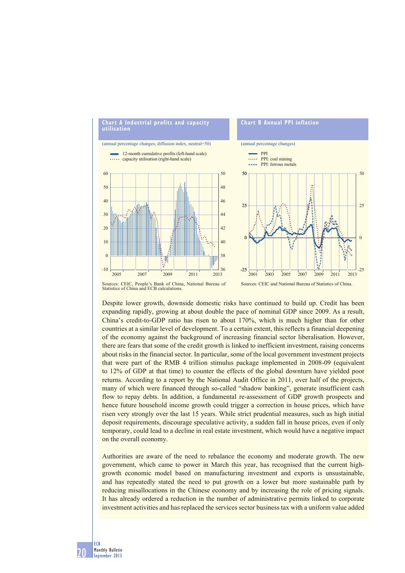

Statistics of China and ECB calculations.

Despite lower growth, downside domestic risks have continued to build up. Credit has been expanding rapidly, growing at about double the pace of nominal GDP since 2009. As a result, China's credit-to-GDP ratio has risen to about 170%, which is much higher than for other countries at a similar level of development. To a certain extent, this reflects a financial deepening of the economy against the background of increasing financial sector liberalisation. However, there are fears that some of the credit growth is linked to inefficient investment, raising concerns about risks in the financial sector. In particular, some of the local government investment projects that were part of the RMB 4 trillion stimulus package implemented in 2008-09 (equivalent to 12% of GDP at that time) to counter the effects of the global downturn have yielded poor returns. According to a report by the National Audit Office in 2011, over half of the projects, many of which were financed through so-called "shadow banking", generate insufficient cash flow to repay debts. In addition, a fundamental re-assessment of GDP growth prospects and hence future household income growth could trigger a correction in house prices, which have risen very strongly over the last 15 years. While strict prudential measures, such as high initial deposit requirements, discourage speculative activity, a sudden fall in house prices, even if only temporary, could lead to a decline in real estate investment, which would have a negative impact on the overall economy.

Authorities are aware of the need to rebalance the economy and moderate growth. The new government, which came to power in March this year, has recognised that the current highgrowth economic model based on manufacturing investment and exports is unsustainable, and has repeatedly stated the need to put growth on a lower but more sustainable path by reducing misallocations in the Chinese economy and by increasing the role of pricing signals. It has already ordered a reduction in the number of administrative permits linked to corporate investment activities and has replaced the services sector business tax with a uniform value added